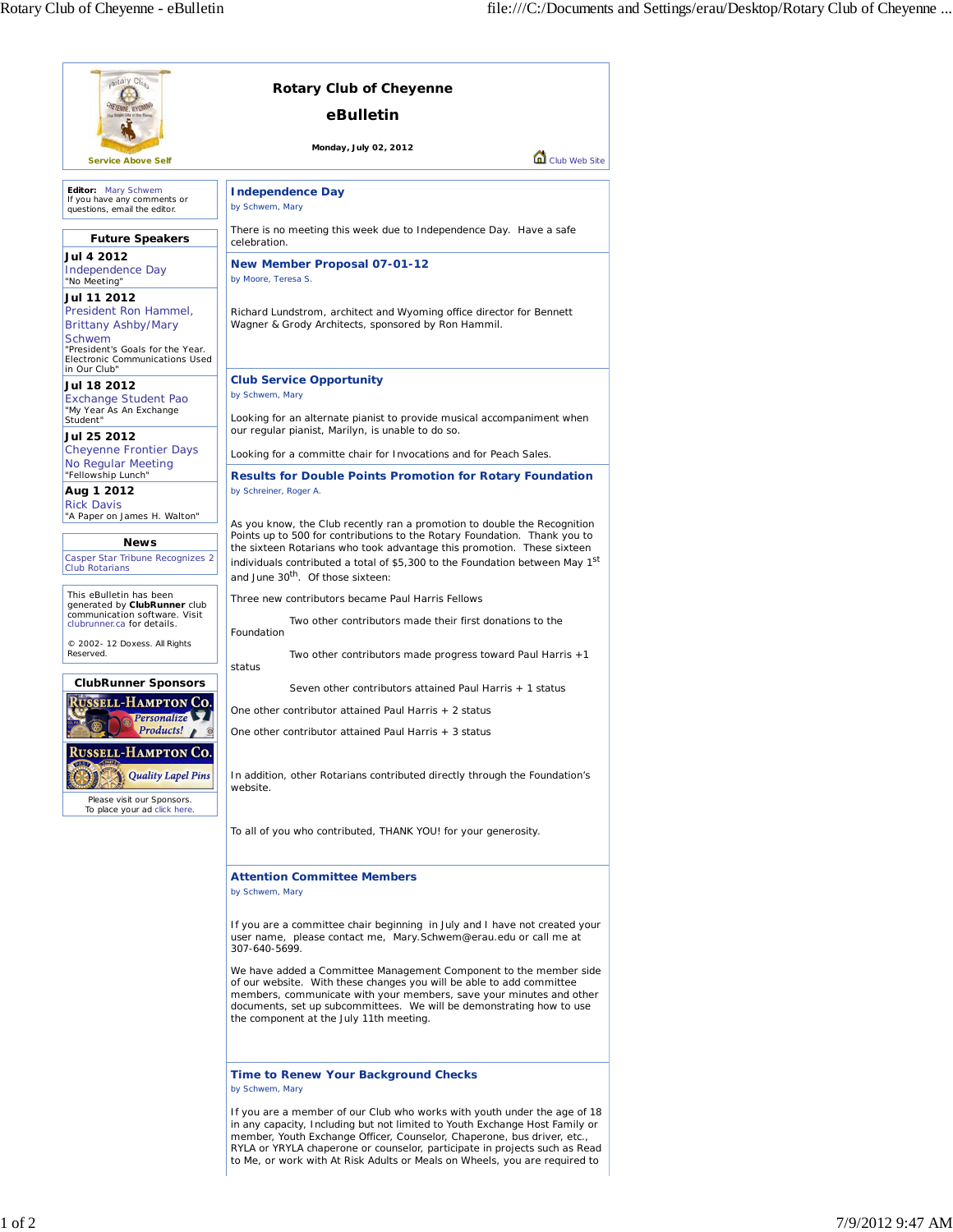| aptary Clus                                                                                                                                                                   | <b>Rotary Club of Cheyenne</b><br>eBulletin                                                                                                                                                                                                                                                                                                                                                    |
|-------------------------------------------------------------------------------------------------------------------------------------------------------------------------------|------------------------------------------------------------------------------------------------------------------------------------------------------------------------------------------------------------------------------------------------------------------------------------------------------------------------------------------------------------------------------------------------|
| <b>Service Above Self</b>                                                                                                                                                     | Monday, July 02, 2012<br>Club Web Site                                                                                                                                                                                                                                                                                                                                                         |
| Editor: Mary Schwem                                                                                                                                                           |                                                                                                                                                                                                                                                                                                                                                                                                |
| If you have any comments or<br>questions, email the editor.                                                                                                                   | <b>Independence Day</b><br>by Schwem, Mary                                                                                                                                                                                                                                                                                                                                                     |
| <b>Future Speakers</b>                                                                                                                                                        | There is no meeting this week due to Independence Day. Have a safe<br>celebration.                                                                                                                                                                                                                                                                                                             |
| Jul 4 2012<br>Independence Day<br>"No Meeting"                                                                                                                                | <b>New Member Proposal 07-01-12</b><br>by Moore, Teresa S.                                                                                                                                                                                                                                                                                                                                     |
| Jul 11 2012<br>President Ron Hammel,<br><b>Brittany Ashby/Mary</b><br>Schwem<br>"President's Goals for the Year.<br>Electronic Communications Used                            | Richard Lundstrom, architect and Wyoming office director for Bennett<br>Wagner & Grody Architects, sponsored by Ron Hammil.                                                                                                                                                                                                                                                                    |
| in Our Club"<br>Jul 18 2012<br><b>Exchange Student Pao</b>                                                                                                                    | <b>Club Service Opportunity</b><br>by Schwem, Mary                                                                                                                                                                                                                                                                                                                                             |
| "My Year As An Exchange<br>Student"<br>Jul 25 2012                                                                                                                            | Looking for an alternate pianist to provide musical accompaniment when<br>our regular pianist, Marilyn, is unable to do so.                                                                                                                                                                                                                                                                    |
| <b>Cheyenne Frontier Days</b><br>No Regular Meeting                                                                                                                           | Looking for a committe chair for Invocations and for Peach Sales.                                                                                                                                                                                                                                                                                                                              |
| "Fellowship Lunch"<br>Aug 1 2012                                                                                                                                              | <b>Results for Double Points Promotion for Rotary Foundation</b><br>by Schreiner, Roger A.                                                                                                                                                                                                                                                                                                     |
| <b>Rick Davis</b><br>"A Paper on James H. Walton"<br><b>News</b><br>Casper Star Tribune Recognizes 2<br><b>Club Rotarians</b>                                                 | As you know, the Club recently ran a promotion to double the Recognition<br>Points up to 500 for contributions to the Rotary Foundation. Thank you to<br>the sixteen Rotarians who took advantage this promotion. These sixteen<br>individuals contributed a total of \$5,300 to the Foundation between May 1 <sup>st</sup><br>and June 30 <sup>th</sup> . Of those sixteen:                   |
| This eBulletin has been<br>generated by ClubRunner club                                                                                                                       | Three new contributors became Paul Harris Fellows                                                                                                                                                                                                                                                                                                                                              |
| communication software. Visit<br>clubrunner.ca for details.                                                                                                                   | Two other contributors made their first donations to the<br>Foundation                                                                                                                                                                                                                                                                                                                         |
| C 2002- 12 Doxess. All Rights<br>Reserved.                                                                                                                                    | Two other contributors made progress toward Paul Harris +1<br>status                                                                                                                                                                                                                                                                                                                           |
| <b>ClubRunner Sponsors</b>                                                                                                                                                    | Seven other contributors attained Paul Harris + 1 status                                                                                                                                                                                                                                                                                                                                       |
| <b>SSELL-HAMPTON CO.</b><br>Personalize<br>Products!<br><b>RUSSELL-HAMPTON CO.</b><br><b>Quality Lapel Pins</b><br>Please visit our Sponsors.<br>To place your ad click here. | One other contributor attained Paul Harris + 2 status                                                                                                                                                                                                                                                                                                                                          |
|                                                                                                                                                                               | One other contributor attained Paul Harris + 3 status<br>In addition, other Rotarians contributed directly through the Foundation's<br>website.                                                                                                                                                                                                                                                |
|                                                                                                                                                                               | To all of you who contributed, THANK YOU! for your generosity.                                                                                                                                                                                                                                                                                                                                 |
|                                                                                                                                                                               | <b>Attention Committee Members</b><br>by Schwem, Mary                                                                                                                                                                                                                                                                                                                                          |
|                                                                                                                                                                               | If you are a committee chair beginning in July and I have not created your<br>user name, please contact me, Mary.Schwem@erau.edu or call me at<br>307-640-5699.                                                                                                                                                                                                                                |
|                                                                                                                                                                               | We have added a Committee Management Component to the member side<br>of our website. With these changes you will be able to add committee<br>members, communicate with your members, save your minutes and other<br>documents, set up subcommittees. We will be demonstrating how to use<br>the component at the July 11th meeting.                                                            |
|                                                                                                                                                                               | <b>Time to Renew Your Background Checks</b><br>by Schwem, Mary                                                                                                                                                                                                                                                                                                                                 |
|                                                                                                                                                                               | If you are a member of our Club who works with youth under the age of 18<br>in any capacity, Including but not limited to Youth Exchange Host Family or<br>member, Youth Exchange Officer, Counselor, Chaperone, bus driver, etc.,<br>RYLA or YRYLA chaperone or counselor, participate in projects such as Read<br>to Me, or work with At Risk Adults or Meals on Wheels, you are required to |